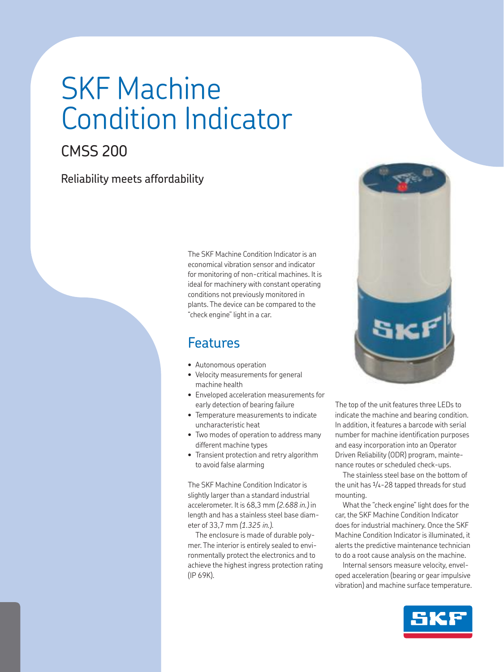# SKF Machine Condition Indicator

# CMSS 200

# Reliability meets affordability

The SKF Machine Condition Indicator is an economical vibration sensor and indicator for monitoring of non-critical machines. It is ideal for machinery with constant operating conditions not previously monitored in plants. The device can be compared to the "check engine" light in a car.

# Features

- Autonomous operation
- Velocity measurements for general machine health
- Enveloped acceleration measurements for early detection of bearing failure
- Temperature measurements to indicate uncharacteristic heat
- Two modes of operation to address many different machine types
- Transient protection and retry algorithm to avoid false alarming

The SKF Machine Condition Indicator is slightly larger than a standard industrial accelerometer. It is 68,3 mm *(2.688 in.)* in length and has a stainless steel base diameter of 33,7 mm *(1.325 in.)*.

The enclosure is made of durable polymer. The interior is entirely sealed to environmentally protect the electronics and to achieve the highest ingress protection rating (IP 69K).



The top of the unit features three LEDs to indicate the machine and bearing condition. In addition, it features a barcode with serial number for machine identification purposes and easy incorporation into an Operator Driven Reliability (ODR) program, maintenance routes or scheduled check-ups.

The stainless steel base on the bottom of the unit has 1/4-28 tapped threads for stud mounting.

What the "check engine" light does for the car, the SKF Machine Condition Indicator does for industrial machinery. Once the SKF Machine Condition Indicator is illuminated, it alerts the predictive maintenance technician to do a root cause analysis on the machine.

Internal sensors measure velocity, enveloped acceleration (bearing or gear impulsive vibration) and machine surface temperature.

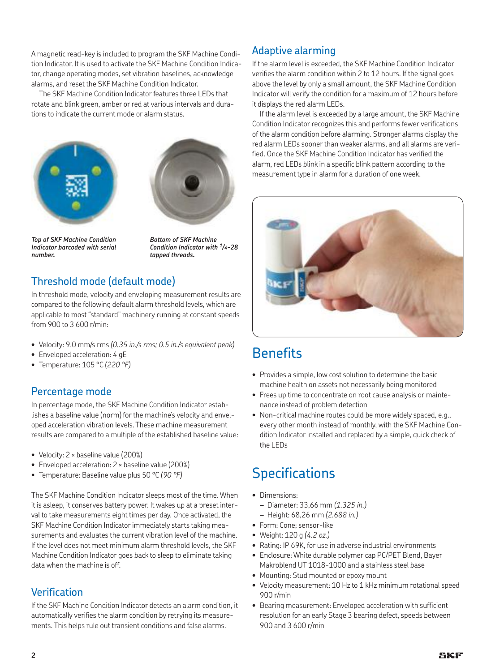A magnetic read-key is included to program the SKF Machine Condition Indicator. It is used to activate the SKF Machine Condition Indicator, change operating modes, set vibration baselines, acknowledge alarms, and reset the SKF Machine Condition Indicator.

The SKF Machine Condition Indicator features three LEDs that rotate and blink green, amber or red at various intervals and durations to indicate the current mode or alarm status.





*Top of SKF Machine Condition Indicator barcoded with serial number.*

*Bottom of SKF Machine Condition Indicator with 1/4-28 tapped threads.*

# Threshold mode (default mode)

In threshold mode, velocity and enveloping measurement results are compared to the following default alarm threshold levels, which are applicable to most "standard" machinery running at constant speeds from 900 to 3 600 r/min:

- Velocity: 9,0 mm/s rms *(0.35 in./s rms; 0.5 in./s equivalent peak)*
- Enveloped acceleration: 4 gE
- Temperature: 105 °C *(220 °F)*

### Percentage mode

In percentage mode, the SKF Machine Condition Indicator establishes a baseline value (norm) for the machine's velocity and enveloped acceleration vibration levels. These machine measurement results are compared to a multiple of the established baseline value:

- Velocity: 2 × baseline value (200%)
- Enveloped acceleration: 2 × baseline value (200%)
- Temperature: Baseline value plus 50 °C *(90 °F)*

The SKF Machine Condition Indicator sleeps most of the time. When it is asleep, it conserves battery power. It wakes up at a preset interval to take measurements eight times per day. Once activated, the SKF Machine Condition Indicator immediately starts taking measurements and evaluates the current vibration level of the machine. If the level does not meet minimum alarm threshold levels, the SKF Machine Condition Indicator goes back to sleep to eliminate taking data when the machine is off.

### Verification

If the SKF Machine Condition Indicator detects an alarm condition, it automatically verifies the alarm condition by retrying its measurements. This helps rule out transient conditions and false alarms.

### Adaptive alarming

If the alarm level is exceeded, the SKF Machine Condition Indicator verifies the alarm condition within 2 to 12 hours. If the signal goes above the level by only a small amount, the SKF Machine Condition Indicator will verify the condition for a maximum of 12 hours before it displays the red alarm LEDs.

If the alarm level is exceeded by a large amount, the SKF Machine Condition Indicator recognizes this and performs fewer verifications of the alarm condition before alarming. Stronger alarms display the red alarm LEDs sooner than weaker alarms, and all alarms are verified. Once the SKF Machine Condition Indicator has verified the alarm, red LEDs blink in a specific blink pattern according to the measurement type in alarm for a duration of one week.



# **Benefits**

- Provides a simple, low cost solution to determine the basic machine health on assets not necessarily being monitored
- Frees up time to concentrate on root cause analysis or maintenance instead of problem detection
- Non-critical machine routes could be more widely spaced, e.g., every other month instead of monthly, with the SKF Machine Condition Indicator installed and replaced by a simple, quick check of the LEDs

# **Specifications**

- Dimensions:
	- *–* Diameter: 33,66 mm *(1.325 in.)*
- *–* Height: 68,26 mm *(2.688 in.)*
- Form: Cone; sensor-like
- Weight: 120 g *(4.2 oz.)*
- Rating: IP 69K, for use in adverse industrial environments
- Enclosure: White durable polymer cap PC/PET Blend, Bayer Makroblend UT 1018-1000 and a stainless steel base
- Mounting: Stud mounted or epoxy mount
- Velocity measurement: 10 Hz to 1 kHz minimum rotational speed 900 r/min
- Bearing measurement: Enveloped acceleration with sufficient resolution for an early Stage 3 bearing defect, speeds between 900 and 3 600 r/min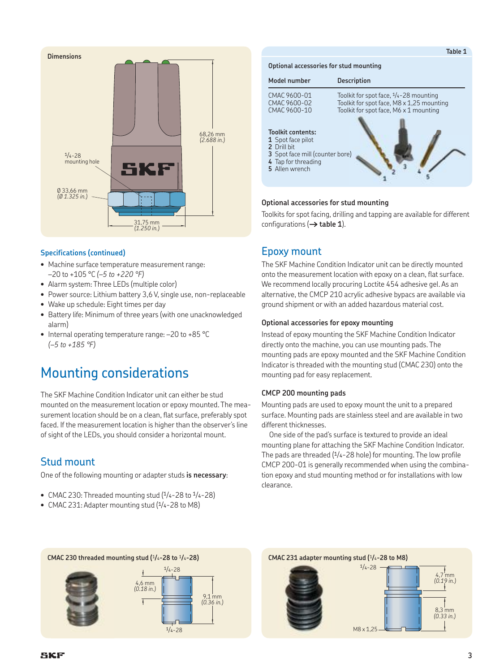

#### **Specifications (continued)**

- Machine surface temperature measurement range: –20 to +105 °C *(–5 to +220 °F)*
- Alarm system: Three LEDs (multiple color)
- Power source: Lithium battery 3,6 V, single use, non-replaceable
- Wake up schedule: Eight times per day
- Battery life: Minimum of three years (with one unacknowledged alarm)
- Internal operating temperature range: –20 to +85 °C *(–5 to +185 °F)*

# Mounting considerations

The SKF Machine Condition Indicator unit can either be stud mounted on the measurement location or epoxy mounted. The measurement location should be on a clean, flat surface, preferably spot faced. If the measurement location is higher than the observer's line of sight of the LEDs, you should consider a horizontal mount.

### Stud mount

One of the following mounting or adapter studs **is necessary**:

- CMAC 230: Threaded mounting stud  $(1/4-28$  to  $1/4-28)$
- CMAC 231: Adapter mounting stud (1/4-28 to M8)

#### **Optional accessories for stud mounting**



#### **Optional accessories for stud mounting**

Toolkits for spot facing, drilling and tapping are available for different configurations (**† table 1**).

### Epoxy mount

The SKF Machine Condition Indicator unit can be directly mounted onto the measurement location with epoxy on a clean, flat surface. We recommend locally procuring Loctite 454 adhesive gel. As an alternative, the CMCP 210 acrylic adhesive bypacs are available via ground shipment or with an added hazardous material cost.

#### **Optional accessories for epoxy mounting**

Instead of epoxy mounting the SKF Machine Condition Indicator directly onto the machine, you can use mounting pads. The mounting pads are epoxy mounted and the SKF Machine Condition Indicator is threaded with the mounting stud (CMAC 230) onto the mounting pad for easy replacement.

#### **CMCP 200 mounting pads**

Mounting pads are used to epoxy mount the unit to a prepared surface. Mounting pads are stainless steel and are available in two different thicknesses.

One side of the pad's surface is textured to provide an ideal mounting plane for attaching the SKF Machine Condition Indicator. The pads are threaded (1/4-28 hole) for mounting. The low profile CMCP 200-01 is generally recommended when using the combination epoxy and stud mounting method or for installations with low clearance.





M8 x 1,25